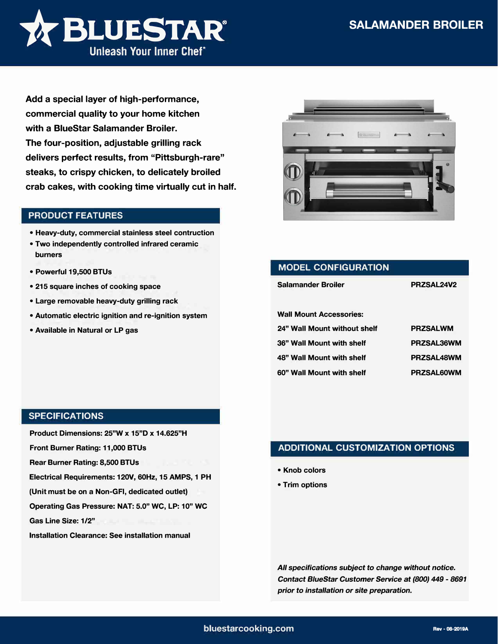

**Add a special layer of high-performance, commercial quality to your home kitchen with a BlueStar Salamander Broiler. The four-position, adjustable grilling rack delivers perfect results, from "Pittsburgh-rare" steaks, to crispy chicken, to delicately broiled crab cakes, with cooking time virtually cut in half.** 

## **PRODUCT FEATURES**

- **• Heavy-duty, commercial stainless steel contruction**
- **• Two independently controlled infrared ceramic burners**
- **• Powerful 19,500 BTUs**
- **• 215 square inches of cooking space**
- **• Large removable heavy-duty grilling rack**
- **• Automatic electric ignition and re-ignition system**
- **• Available in Natural or LP gas**



| PRZSAL24V2        |
|-------------------|
|                   |
| <b>PRZSALWM</b>   |
| PRZSAL36WM        |
| <b>PRZSAL48WM</b> |
| PRZSAL60WM        |
|                   |

## **SPECIFICATIONS**

**Product Dimensions: 25"W x 15"D x 14.625"H** 

**Front Burner Rating: 11,000 BTUs** 

**Rear Burner Rating: 8,500 BTUs**

**Electrical Requirements: 120V, 60Hz, 15 AMPS, 1 PH** 

**(Unit must be on a Non-GFI, dedicated outlet)** 

**Operating Gas Pressure: NAT: 5.0" WC, LP: 10" WC** 

**Gas Line Size: 1/2"** 

**Installation Clearance: See installation manual** 

## **ADDITIONAL CUSTOMIZATION OPTIONS**

- **• Knob colors**
- **• Trim options**

*All specifications subject* **to** *change without notice. Contact 8/ueStar Customer Service* **at** *(800) 449* - *8691 prior* **to** *installation or site preparation.*